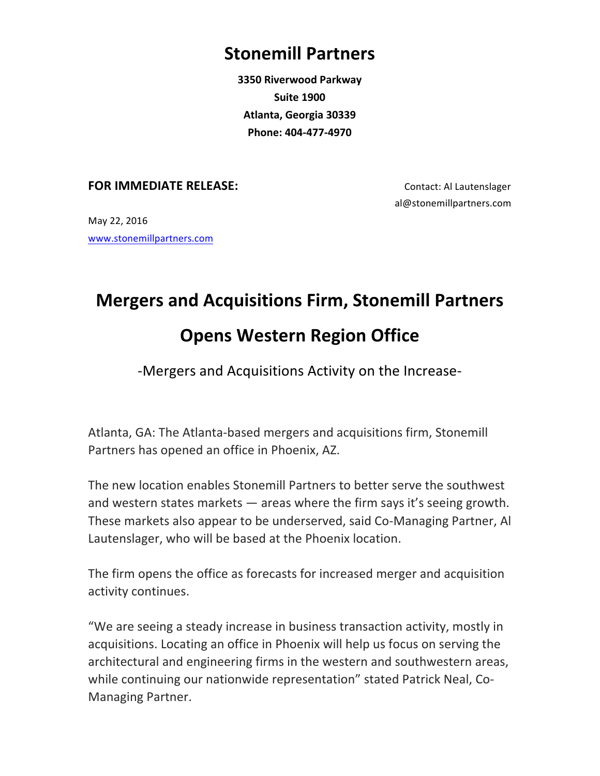## **Stonemill Partners**

**3350 Riverwood Parkway Suite 1900 Atlanta, Georgia 30339 Phone: 404-477-4970**

## **FOR IMMEDIATE RELEASE:** Contact: Al Lautenslager

al@stonemillpartners.com

May 22, 2016 www.stonemillpartners.com

## **Mergers and Acquisitions Firm, Stonemill Partners Opens Western Region Office**

## -Mergers and Acquisitions Activity on the Increase-

Atlanta, GA: The Atlanta-based mergers and acquisitions firm, Stonemill Partners has opened an office in Phoenix, AZ.

The new location enables Stonemill Partners to better serve the southwest and western states markets  $-$  areas where the firm says it's seeing growth. These markets also appear to be underserved, said Co-Managing Partner, Al Lautenslager, who will be based at the Phoenix location.

The firm opens the office as forecasts for increased merger and acquisition activity continues.

"We are seeing a steady increase in business transaction activity, mostly in acquisitions. Locating an office in Phoenix will help us focus on serving the architectural and engineering firms in the western and southwestern areas, while continuing our nationwide representation" stated Patrick Neal, Co-Managing Partner.